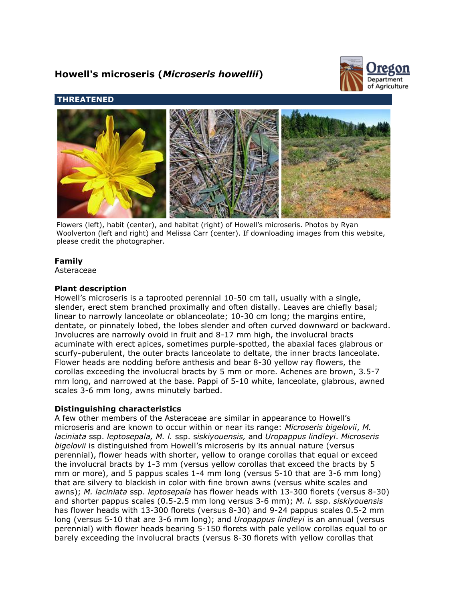# **Howell's microseris (***Microseris howellii***)**



# **THREATENED**



Flowers (left), habit (center), and habitat (right) of Howell's microseris. Photos by Ryan Woolverton (left and right) and Melissa Carr (center). If downloading images from this website, please credit the photographer.

# **Family**

Asteraceae

# **Plant description**

Howell's microseris is a taprooted perennial 10-50 cm tall, usually with a single, slender, erect stem branched proximally and often distally. Leaves are chiefly basal; linear to narrowly lanceolate or oblanceolate; 10-30 cm long; the margins entire, dentate, or pinnately lobed, the lobes slender and often curved downward or backward. Involucres are narrowly ovoid in fruit and 8-17 mm high, the involucral bracts acuminate with erect apices, sometimes purple-spotted, the abaxial faces glabrous or scurfy-puberulent, the outer bracts lanceolate to deltate, the inner bracts lanceolate. Flower heads are nodding before anthesis and bear 8-30 yellow ray flowers, the corollas exceeding the involucral bracts by 5 mm or more. Achenes are brown, 3.5-7 mm long, and narrowed at the base. Pappi of 5-10 white, lanceolate, glabrous, awned scales 3-6 mm long, awns minutely barbed.

# **Distinguishing characteristics**

A few other members of the Asteraceae are similar in appearance to Howell's microseris and are known to occur within or near its range: *Microseris bigelovii*, *M. laciniata* ssp. *leptosepala, M. l.* ssp. s*iskiyouensis,* and *Uropappus lindleyi*. *Microseris bigelovii* is distinguished from Howell's microseris by its annual nature (versus perennial), flower heads with shorter, yellow to orange corollas that equal or exceed the involucral bracts by 1-3 mm (versus yellow corollas that exceed the bracts by 5 mm or more), and 5 pappus scales 1-4 mm long (versus 5-10 that are 3-6 mm long) that are silvery to blackish in color with fine brown awns (versus white scales and awns); *M. laciniata* ssp. *leptosepala* has flower heads with 13-300 florets (versus 8-30) and shorter pappus scales (0.5-2.5 mm long versus 3-6 mm); *M. l.* ssp. *siskiyouensis* has flower heads with 13-300 florets (versus 8-30) and 9-24 pappus scales 0.5-2 mm long (versus 5-10 that are 3-6 mm long); and *Uropappus lindleyi* is an annual (versus perennial) with flower heads bearing 5-150 florets with pale yellow corollas equal to or barely exceeding the involucral bracts (versus 8-30 florets with yellow corollas that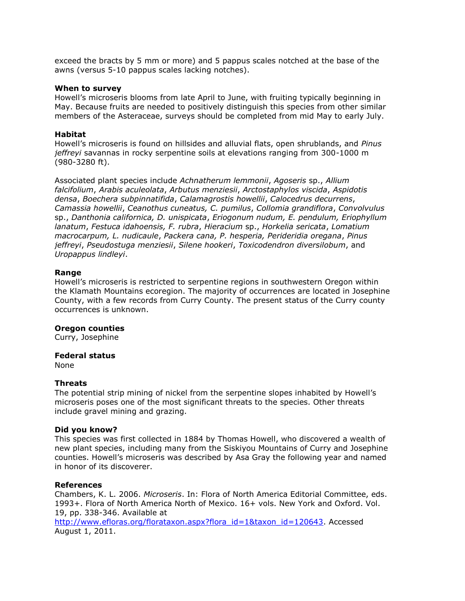exceed the bracts by 5 mm or more) and 5 pappus scales notched at the base of the awns (versus 5-10 pappus scales lacking notches).

#### **When to survey**

Howell's microseris blooms from late April to June, with fruiting typically beginning in May. Because fruits are needed to positively distinguish this species from other similar members of the Asteraceae, surveys should be completed from mid May to early July.

#### **Habitat**

Howell's microseris is found on hillsides and alluvial flats, open shrublands, and *Pinus jeffreyi* savannas in rocky serpentine soils at elevations ranging from 300-1000 m (980-3280 ft).

Associated plant species include *Achnatherum lemmonii*, *Agoseris* sp., *Allium falcifolium*, *Arabis aculeolata*, *Arbutus menziesii*, *Arctostaphylos viscida*, *Aspidotis densa*, *Boechera subpinnatifida*, *Calamagrostis howellii*, *Calocedrus decurrens*, *Camassia howellii*, *Ceanothus cuneatus, C. pumilus*, *Collomia grandiflora*, *Convolvulus* sp., *Danthonia californica, D. unispicata*, *Eriogonum nudum, E. pendulum, Eriophyllum lanatum*, *Festuca idahoensis, F. rubra*, *Hieracium* sp., *Horkelia sericata*, *Lomatium macrocarpum, L. nudicaule*, *Packera cana, P. hesperia, Perideridia oregana*, *Pinus jeffreyi*, *Pseudostuga menziesii*, *Silene hookeri*, *Toxicodendron diversilobum*, and *Uropappus lindleyi*.

#### **Range**

Howell's microseris is restricted to serpentine regions in southwestern Oregon within the Klamath Mountains ecoregion. The majority of occurrences are located in Josephine County, with a few records from Curry County. The present status of the Curry county occurrences is unknown.

#### **Oregon counties**

Curry, Josephine

## **Federal status**

None

## **Threats**

The potential strip mining of nickel from the serpentine slopes inhabited by Howell's microseris poses one of the most significant threats to the species. Other threats include gravel mining and grazing.

#### **Did you know?**

This species was first collected in 1884 by Thomas Howell, who discovered a wealth of new plant species, including many from the Siskiyou Mountains of Curry and Josephine counties. Howell's microseris was described by Asa Gray the following year and named in honor of its discoverer.

#### **References**

Chambers, K. L. 2006. *Microseris*. In: Flora of North America Editorial Committee, eds. 1993+. Flora of North America North of Mexico. 16+ vols. New York and Oxford. Vol. 19, pp. 338-346. Available at

[http://www.efloras.org/florataxon.aspx?flora\\_id=1&taxon\\_id=120643.](http://www.efloras.org/florataxon.aspx?flora_id=1&taxon_id=120643) Accessed August 1, 2011.